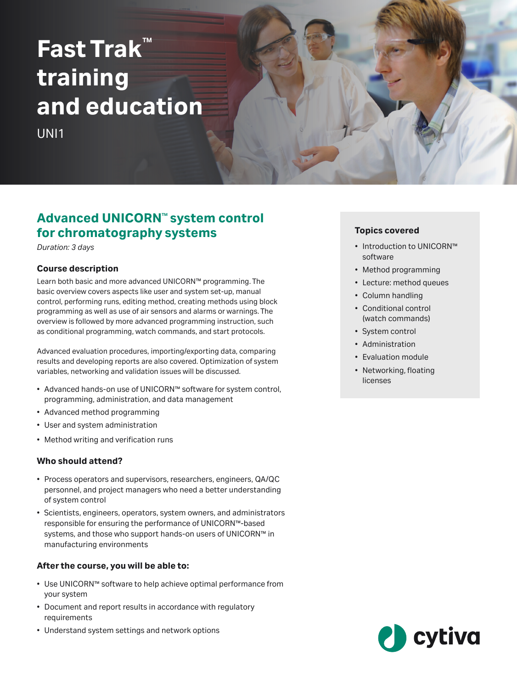# $\mathsf{Fast}$  Trak<sup>®</sup> **training and education**

UNI1

# **Advanced UNICORN<sup>™</sup> system control for chromatography systems**

*Duration: 3 days*

## **Course description**

Learn both basic and more advanced UNICORN™ programming. The basic overview covers aspects like user and system set‑up, manual control, performing runs, editing method, creating methods using block programming as well as use of air sensors and alarms or warnings. The overview is followed by more advanced programming instruction, such as conditional programming, watch commands, and start protocols.

Advanced evaluation procedures, importing/exporting data, comparing results and developing reports are also covered. Optimization of system variables, networking and validation issues will be discussed.

- Advanced hands‑on use of UNICORN™ software for system control, programming, administration, and data management
- Advanced method programming
- User and system administration
- Method writing and verification runs

## **Who should attend?**

- Process operators and supervisors, researchers, engineers, QA/QC personnel, and project managers who need a better understanding of system control
- Scientists, engineers, operators, system owners, and administrators responsible for ensuring the performance of UNICORN™‑based systems, and those who support hands-on users of UNICORN™ in manufacturing environments

## **After the course, you will be able to:**

- Use UNICORN™ software to help achieve optimal performance from your system
- Document and report results in accordance with regulatory requirements
- Understand system settings and network options

# **Topics covered**

- Introduction to UNICORN™ software
- Method programming
- Lecture: method queues
- Column handling
- Conditional control (watch commands)
- System control
- Administration
- Evaluation module
- Networking, floating licenses

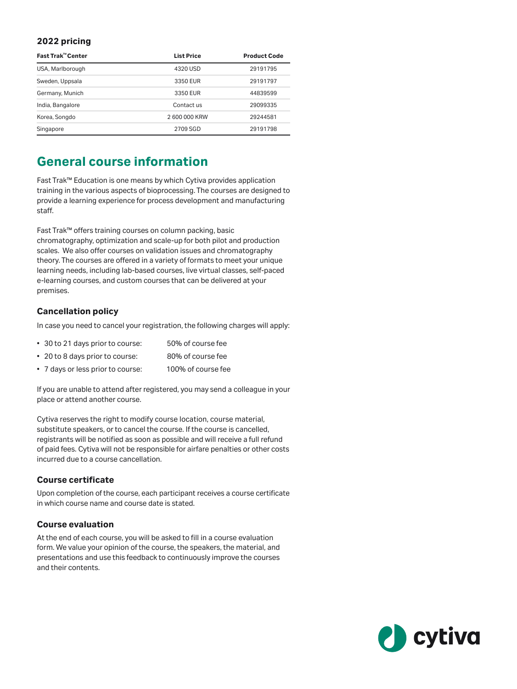# **2022 pricing**

| Fast Trak™ Center | <b>List Price</b> | <b>Product Code</b> |
|-------------------|-------------------|---------------------|
| USA, Marlborough  | 4320 USD          | 29191795            |
| Sweden, Uppsala   | 3350 EUR          | 29191797            |
| Germany, Munich   | 3350 EUR          | 44839599            |
| India, Bangalore  | Contact us        | 29099335            |
| Korea, Songdo     | 2 600 000 KRW     | 29244581            |
| Singapore         | 2709 SGD          | 29191798            |

# **General course information**

Fast Trak™ Education is one means by which Cytiva provides application training in the various aspects of bioprocessing. The courses are designed to provide a learning experience for process development and manufacturing staff.

Fast Trak™ offers training courses on column packing, basic chromatography, optimization and scale-up for both pilot and production scales. We also offer courses on validation issues and chromatography theory. The courses are offered in a variety of formats to meet your unique learning needs, including lab-based courses, live virtual classes, self-paced e-learning courses, and custom courses that can be delivered at your premises.

# **Cancellation policy**

In case you need to cancel your registration, the following charges will apply:

- 30 to 21 days prior to course: 50% of course fee
- 20 to 8 days prior to course: 80% of course fee
- 7 days or less prior to course: 100% of course fee

If you are unable to attend after registered, you may send a colleague in your place or attend another course.

Cytiva reserves the right to modify course location, course material, substitute speakers, or to cancel the course. If the course is cancelled, registrants will be notified as soon as possible and will receive a full refund of paid fees. Cytiva will not be responsible for airfare penalties or other costs incurred due to a course cancellation.

# **Course certificate**

Upon completion of the course, each participant receives a course certificate in which course name and course date is stated.

## **Course evaluation**

At the end of each course, you will be asked to fill in a course evaluation form. We value your opinion of the course, the speakers, the material, and presentations and use this feedback to continuously improve the courses and their contents.